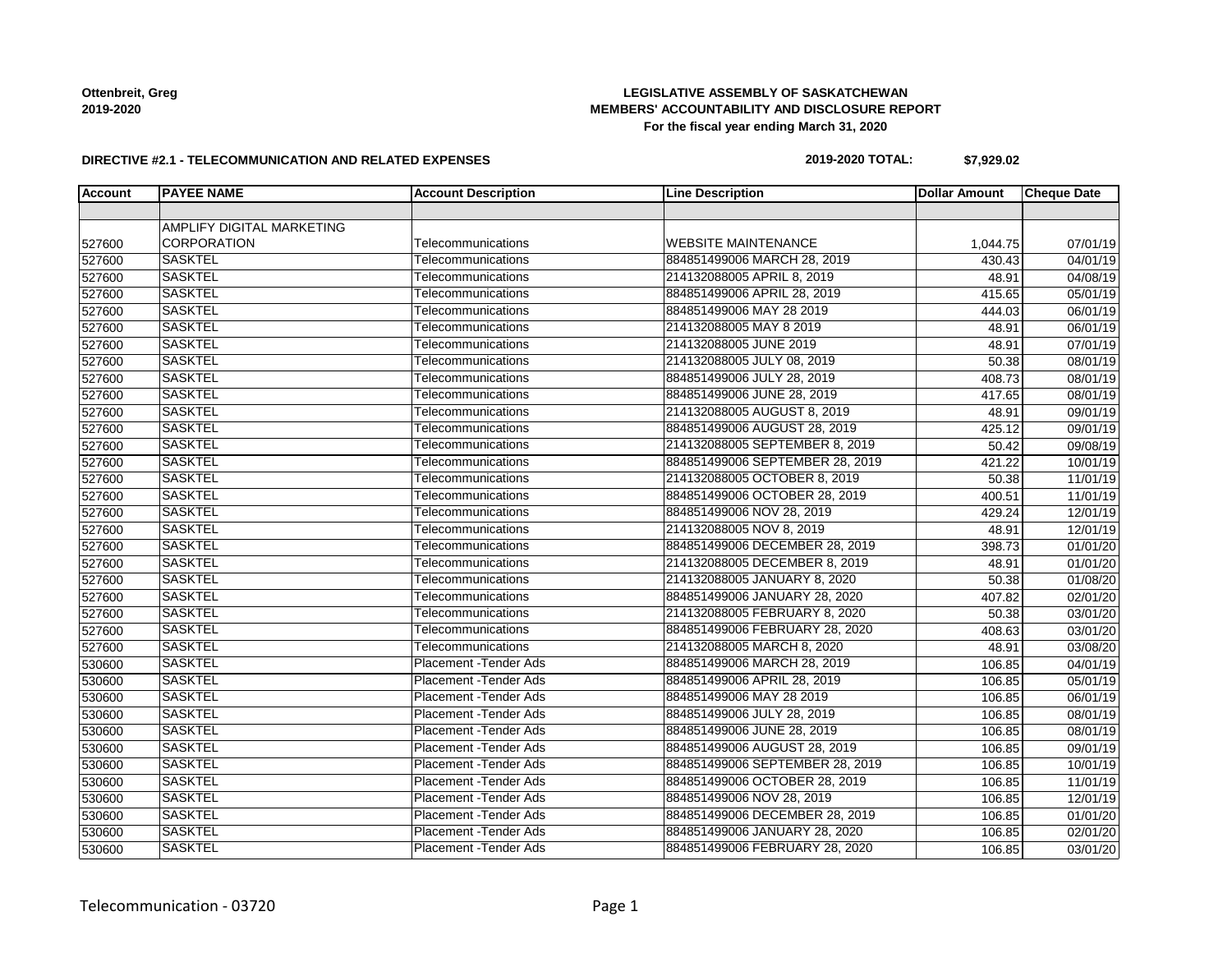# **LEGISLATIVE ASSEMBLY OF SASKATCHEWAN MEMBERS' ACCOUNTABILITY AND DISCLOSURE REPORT For the fiscal year ending March 31, 2020**

#### **DIRECTIVE #2.1 - TELECOMMUNICATION AND RELATED EXPENSES**

### **2019-2020 TOTAL: \$7,929.02**

| Account | <b>PAYEE NAME</b>         | <b>Account Description</b>    | <b>Line Description</b>         | <b>Dollar Amount</b> | <b>Cheque Date</b>    |
|---------|---------------------------|-------------------------------|---------------------------------|----------------------|-----------------------|
|         |                           |                               |                                 |                      |                       |
|         | AMPLIFY DIGITAL MARKETING |                               |                                 |                      |                       |
| 527600  | CORPORATION               | Telecommunications            | <b>WEBSITE MAINTENANCE</b>      | 1,044.75             | 07/01/19              |
| 527600  | <b>SASKTEL</b>            | Telecommunications            | 884851499006 MARCH 28, 2019     | 430.43               | 04/01/19              |
| 527600  | <b>SASKTEL</b>            | Telecommunications            | 214132088005 APRIL 8, 2019      | 48.91                | 04/08/19              |
| 527600  | <b>SASKTEL</b>            | Telecommunications            | 884851499006 APRIL 28, 2019     | 415.65               | 05/01/19              |
| 527600  | <b>SASKTEL</b>            | Telecommunications            | 884851499006 MAY 28 2019        | 444.03               | 06/01/19              |
| 527600  | <b>SASKTEL</b>            | Telecommunications            | 214132088005 MAY 8 2019         | 48.91                | 06/01/19              |
| 527600  | <b>SASKTEL</b>            | Telecommunications            | 214132088005 JUNE 2019          | 48.91                | $\overline{07/01/19}$ |
| 527600  | <b>SASKTEL</b>            | Telecommunications            | 214132088005 JULY 08, 2019      | 50.38                | 08/01/19              |
| 527600  | <b>SASKTEL</b>            | Telecommunications            | 884851499006 JULY 28, 2019      | 408.73               | 08/01/19              |
| 527600  | <b>SASKTEL</b>            | Telecommunications            | 884851499006 JUNE 28, 2019      | 417.65               | 08/01/19              |
| 527600  | <b>SASKTEL</b>            | Telecommunications            | 214132088005 AUGUST 8, 2019     | 48.91                | 09/01/19              |
| 527600  | <b>SASKTEL</b>            | Telecommunications            | 884851499006 AUGUST 28, 2019    | 425.12               | 09/01/19              |
| 527600  | <b>SASKTEL</b>            | Telecommunications            | 214132088005 SEPTEMBER 8, 2019  | 50.42                | 09/08/19              |
| 527600  | <b>SASKTEL</b>            | Telecommunications            | 884851499006 SEPTEMBER 28, 2019 | 421.22               | 10/01/19              |
| 527600  | <b>SASKTEL</b>            | Telecommunications            | 214132088005 OCTOBER 8, 2019    | 50.38                | 11/01/19              |
| 527600  | <b>SASKTEL</b>            | Telecommunications            | 884851499006 OCTOBER 28, 2019   | 400.51               | 11/01/19              |
| 527600  | <b>SASKTEL</b>            | Telecommunications            | 884851499006 NOV 28, 2019       | 429.24               | 12/01/19              |
| 527600  | <b>SASKTEL</b>            | Telecommunications            | 214132088005 NOV 8, 2019        | 48.91                | 12/01/19              |
| 527600  | <b>SASKTEL</b>            | Telecommunications            | 884851499006 DECEMBER 28, 2019  | 398.73               | 01/01/20              |
| 527600  | <b>SASKTEL</b>            | Telecommunications            | 214132088005 DECEMBER 8, 2019   | 48.91                | 01/01/20              |
| 527600  | <b>SASKTEL</b>            | Telecommunications            | 214132088005 JANUARY 8, 2020    | 50.38                | 01/08/20              |
| 527600  | <b>SASKTEL</b>            | Telecommunications            | 884851499006 JANUARY 28, 2020   | 407.82               | 02/01/20              |
| 527600  | <b>SASKTEL</b>            | Telecommunications            | 214132088005 FEBRUARY 8, 2020   | 50.38                | 03/01/20              |
| 527600  | <b>SASKTEL</b>            | Telecommunications            | 884851499006 FEBRUARY 28, 2020  | 408.63               | 03/01/20              |
| 527600  | <b>SASKTEL</b>            | Telecommunications            | 214132088005 MARCH 8, 2020      | 48.91                | 03/08/20              |
| 530600  | <b>SASKTEL</b>            | Placement - Tender Ads        | 884851499006 MARCH 28, 2019     | 106.85               | $\overline{04/0}1/19$ |
| 530600  | <b>SASKTEL</b>            | Placement - Tender Ads        | 884851499006 APRIL 28, 2019     | 106.85               | 05/01/19              |
| 530600  | <b>SASKTEL</b>            | Placement - Tender Ads        | 884851499006 MAY 28 2019        | 106.85               | 06/01/19              |
| 530600  | <b>SASKTEL</b>            | <b>Placement - Tender Ads</b> | 884851499006 JULY 28, 2019      | 106.85               | 08/01/19              |
| 530600  | <b>SASKTEL</b>            | <b>Placement - Tender Ads</b> | 884851499006 JUNE 28, 2019      | 106.85               | 08/01/19              |
| 530600  | <b>SASKTEL</b>            | Placement - Tender Ads        | 884851499006 AUGUST 28, 2019    | 106.85               | 09/01/19              |
| 530600  | <b>SASKTEL</b>            | Placement - Tender Ads        | 884851499006 SEPTEMBER 28, 2019 | 106.85               | 10/01/19              |
| 530600  | <b>SASKTEL</b>            | Placement - Tender Ads        | 884851499006 OCTOBER 28, 2019   | 106.85               | 11/01/19              |
| 530600  | <b>SASKTEL</b>            | Placement - Tender Ads        | 884851499006 NOV 28, 2019       | 106.85               | 12/01/19              |
| 530600  | <b>SASKTEL</b>            | Placement - Tender Ads        | 884851499006 DECEMBER 28, 2019  | 106.85               | 01/01/20              |
| 530600  | <b>SASKTEL</b>            | Placement - Tender Ads        | 884851499006 JANUARY 28, 2020   | 106.85               | 02/01/20              |
| 530600  | <b>SASKTEL</b>            | Placement - Tender Ads        | 884851499006 FEBRUARY 28, 2020  | 106.85               | 03/01/20              |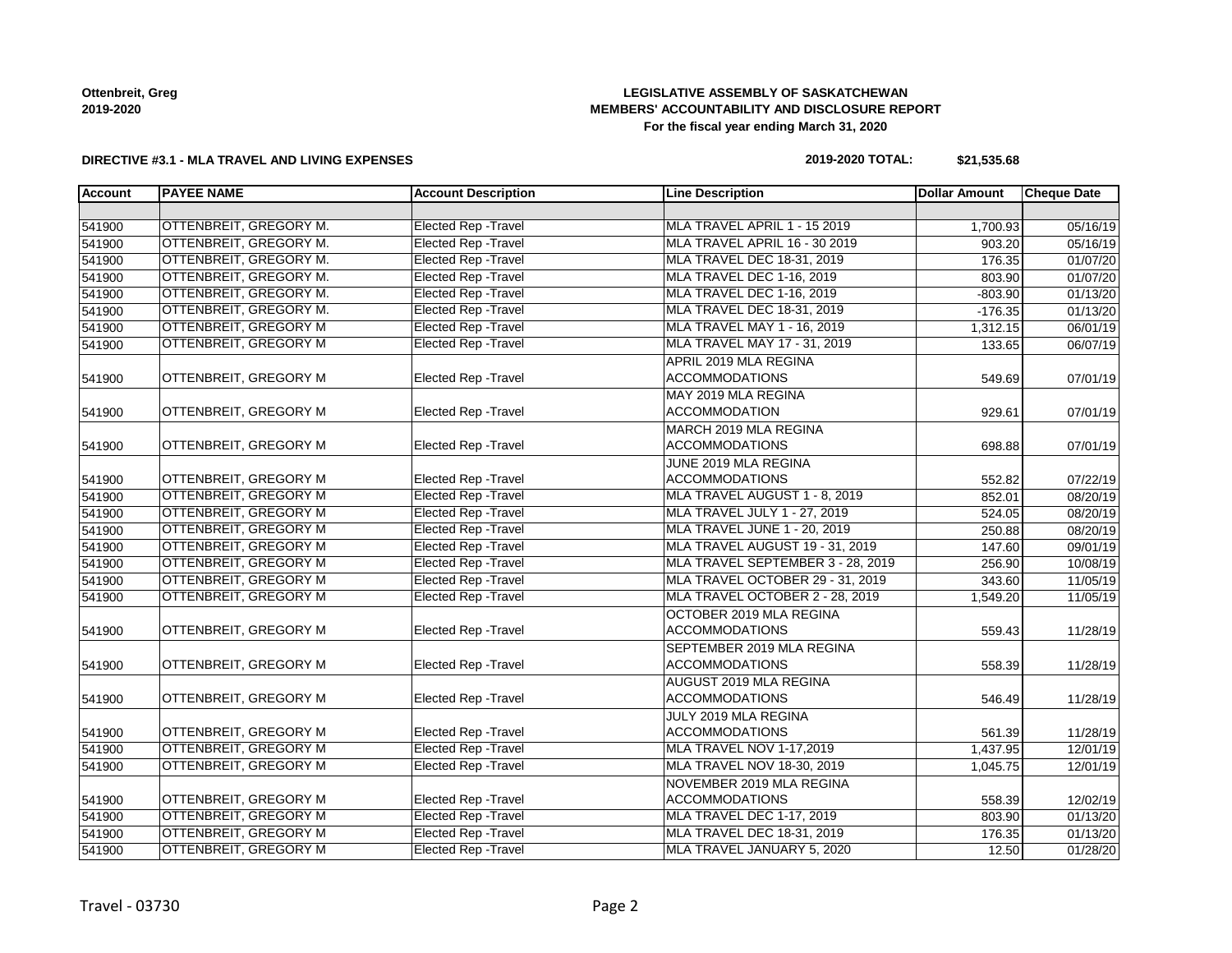# **LEGISLATIVE ASSEMBLY OF SASKATCHEWAN MEMBERS' ACCOUNTABILITY AND DISCLOSURE REPORT For the fiscal year ending March 31, 2020**

### **DIRECTIVE #3.1 - MLA TRAVEL AND LIVING EXPENSES**

# **2019-2020 TOTAL: \$21,535.68**

| <b>Account</b> | <b>PAYEE NAME</b>            | <b>Account Description</b>  | <b>Line Description</b>             | <b>Dollar Amount</b> | <b>Cheque Date</b> |
|----------------|------------------------------|-----------------------------|-------------------------------------|----------------------|--------------------|
|                |                              |                             |                                     |                      |                    |
| 541900         | OTTENBREIT, GREGORY M.       | <b>Elected Rep - Travel</b> | MLA TRAVEL APRIL 1 - 15 2019        | 1,700.93             | 05/16/19           |
| 541900         | OTTENBREIT, GREGORY M.       | Elected Rep - Travel        | MLA TRAVEL APRIL 16 - 30 2019       | 903.20               | 05/16/19           |
| 541900         | OTTENBREIT, GREGORY M.       | <b>Elected Rep - Travel</b> | MLA TRAVEL DEC 18-31, 2019          | 176.35               | 01/07/20           |
| 541900         | OTTENBREIT, GREGORY M.       | <b>Elected Rep - Travel</b> | MLA TRAVEL DEC 1-16, 2019           | 803.90               | 01/07/20           |
| 541900         | OTTENBREIT, GREGORY M.       | <b>Elected Rep - Travel</b> | MLA TRAVEL DEC 1-16, 2019           | $-803.90$            | 01/13/20           |
| 541900         | OTTENBREIT, GREGORY M.       | <b>Elected Rep - Travel</b> | MLA TRAVEL DEC 18-31, 2019          | $-176.35$            | 01/13/20           |
| 541900         | OTTENBREIT, GREGORY M        | <b>Elected Rep - Travel</b> | MLA TRAVEL MAY 1 - 16, 2019         | 1,312.15             | 06/01/19           |
| 541900         | <b>OTTENBREIT, GREGORY M</b> | <b>Elected Rep - Travel</b> | MLA TRAVEL MAY 17 - 31, 2019        | 133.65               | 06/07/19           |
|                |                              |                             | APRIL 2019 MLA REGINA               |                      |                    |
| 541900         | OTTENBREIT, GREGORY M        | Elected Rep - Travel        | <b>ACCOMMODATIONS</b>               | 549.69               | 07/01/19           |
|                |                              |                             | MAY 2019 MLA REGINA                 |                      |                    |
| 541900         | OTTENBREIT, GREGORY M        | Elected Rep - Travel        | <b>ACCOMMODATION</b>                | 929.61               | 07/01/19           |
|                |                              |                             | MARCH 2019 MLA REGINA               |                      |                    |
| 541900         | OTTENBREIT, GREGORY M        | <b>Elected Rep - Travel</b> | <b>ACCOMMODATIONS</b>               | 698.88               | 07/01/19           |
|                |                              |                             | JUNE 2019 MLA REGINA                |                      |                    |
| 541900         | <b>OTTENBREIT, GREGORY M</b> | <b>Elected Rep - Travel</b> | <b>ACCOMMODATIONS</b>               | 552.82               | 07/22/19           |
| 541900         | OTTENBREIT, GREGORY M        | <b>Elected Rep - Travel</b> | MLA TRAVEL AUGUST 1 - 8, 2019       | 852.01               | 08/20/19           |
| 541900         | OTTENBREIT, GREGORY M        | <b>Elected Rep - Travel</b> | MLA TRAVEL JULY 1 - 27, 2019        | 524.05               | 08/20/19           |
| 541900         | OTTENBREIT, GREGORY M        | <b>Elected Rep - Travel</b> | <b>MLA TRAVEL JUNE 1 - 20, 2019</b> | 250.88               | 08/20/19           |
| 541900         | OTTENBREIT, GREGORY M        | <b>Elected Rep - Travel</b> | MLA TRAVEL AUGUST 19 - 31, 2019     | 147.60               | 09/01/19           |
| 541900         | OTTENBREIT, GREGORY M        | <b>Elected Rep - Travel</b> | MLA TRAVEL SEPTEMBER 3 - 28, 2019   | 256.90               | 10/08/19           |
| 541900         | OTTENBREIT, GREGORY M        | <b>Elected Rep - Travel</b> | MLA TRAVEL OCTOBER 29 - 31, 2019    | 343.60               | 11/05/19           |
| 541900         | OTTENBREIT, GREGORY M        | <b>Elected Rep - Travel</b> | MLA TRAVEL OCTOBER 2 - 28, 2019     | 1,549.20             | 11/05/19           |
|                |                              |                             | OCTOBER 2019 MLA REGINA             |                      |                    |
| 541900         | OTTENBREIT, GREGORY M        | <b>Elected Rep - Travel</b> | <b>ACCOMMODATIONS</b>               | 559.43               | 11/28/19           |
|                |                              |                             | SEPTEMBER 2019 MLA REGINA           |                      |                    |
| 541900         | OTTENBREIT, GREGORY M        | Elected Rep - Travel        | <b>ACCOMMODATIONS</b>               | 558.39               | 11/28/19           |
|                |                              |                             | AUGUST 2019 MLA REGINA              |                      |                    |
| 541900         | OTTENBREIT, GREGORY M        | Elected Rep - Travel        | <b>ACCOMMODATIONS</b>               | 546.49               | 11/28/19           |
|                |                              |                             | JULY 2019 MLA REGINA                |                      |                    |
| 541900         | <b>OTTENBREIT, GREGORY M</b> | <b>Elected Rep - Travel</b> | <b>ACCOMMODATIONS</b>               | 561.39               | 11/28/19           |
| 541900         | <b>OTTENBREIT, GREGORY M</b> | <b>Elected Rep - Travel</b> | MLA TRAVEL NOV 1-17,2019            | 1,437.95             | 12/01/19           |
| 541900         | OTTENBREIT, GREGORY M        | <b>Elected Rep - Travel</b> | MLA TRAVEL NOV 18-30, 2019          | 1,045.75             | 12/01/19           |
|                |                              |                             | NOVEMBER 2019 MLA REGINA            |                      |                    |
| 541900         | OTTENBREIT, GREGORY M        | Elected Rep - Travel        | <b>ACCOMMODATIONS</b>               | 558.39               | 12/02/19           |
| 541900         | OTTENBREIT, GREGORY M        | <b>Elected Rep - Travel</b> | MLA TRAVEL DEC 1-17, 2019           | 803.90               | 01/13/20           |
| 541900         | OTTENBREIT, GREGORY M        | <b>Elected Rep - Travel</b> | MLA TRAVEL DEC 18-31, 2019          | 176.35               | 01/13/20           |
| 541900         | <b>OTTENBREIT, GREGORY M</b> | <b>Elected Rep - Travel</b> | MLA TRAVEL JANUARY 5, 2020          | 12.50                | 01/28/20           |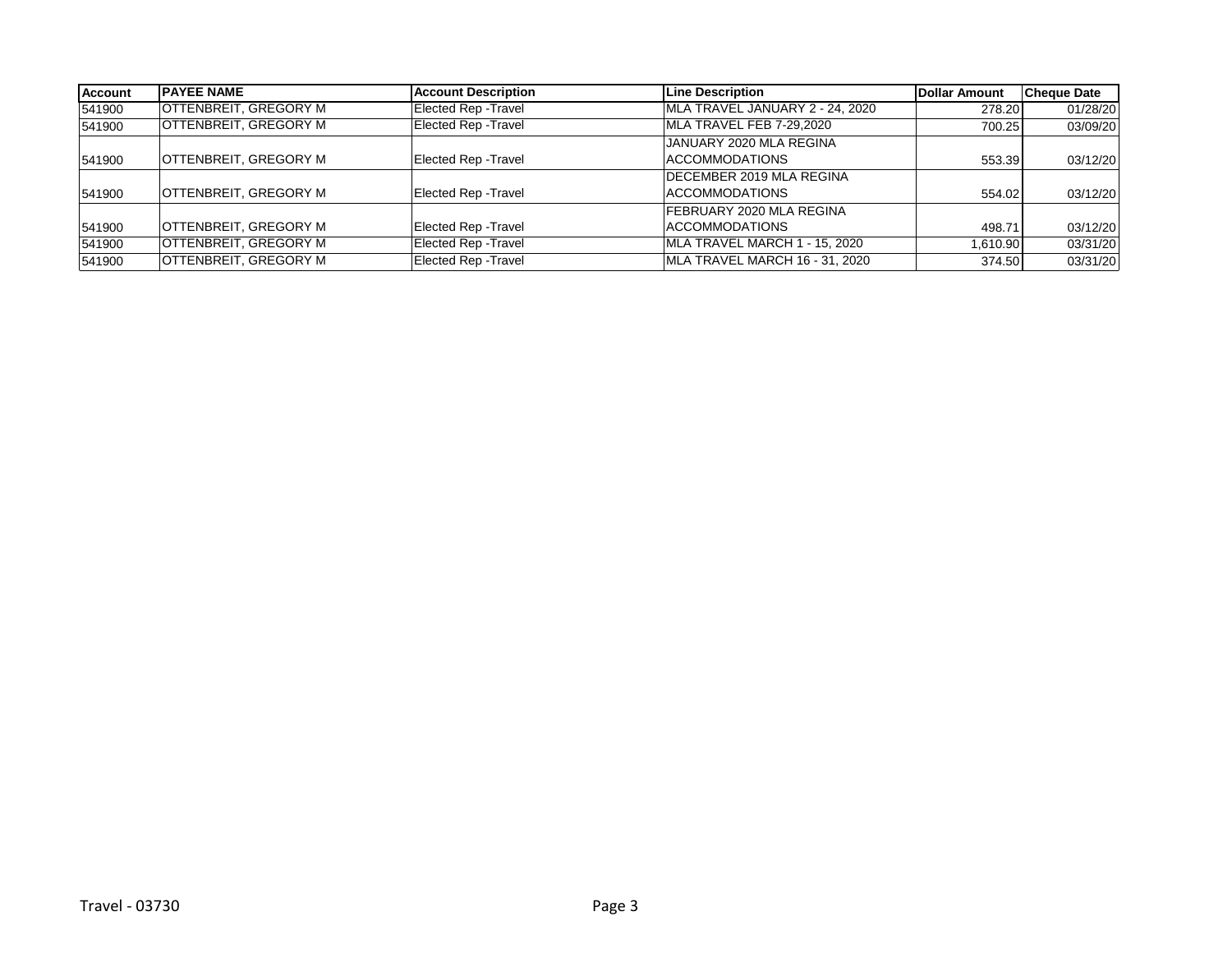| <b>Account</b> | <b>IPAYEE NAME</b>           | <b>Account Description</b>  | <b>Line Description</b>          | <b>Dollar Amount</b> | <b>Cheque Date</b> |
|----------------|------------------------------|-----------------------------|----------------------------------|----------------------|--------------------|
| 541900         | <b>OTTENBREIT, GREGORY M</b> | Elected Rep - Travel        | MLA TRAVEL JANUARY 2 - 24, 2020  | 278.20               | 01/28/20           |
| 541900         | <b>OTTENBREIT, GREGORY M</b> | Elected Rep - Travel        | MLA TRAVEL FEB 7-29,2020         | 700.25               | 03/09/20           |
|                |                              |                             | JANUARY 2020 MLA REGINA          |                      |                    |
| 541900         | <b>OTTENBREIT, GREGORY M</b> | <b>Elected Rep - Travel</b> | <b>ACCOMMODATIONS</b>            | 553.39               | 03/12/20           |
|                |                              |                             | <b>IDECEMBER 2019 MLA REGINA</b> |                      |                    |
| 541900         | <b>OTTENBREIT, GREGORY M</b> | <b>Elected Rep - Travel</b> | ACCOMMODATIONS                   | 554.02               | 03/12/20           |
|                |                              |                             | <b>FEBRUARY 2020 MLA REGINA</b>  |                      |                    |
| 541900         | <b>OTTENBREIT, GREGORY M</b> | Elected Rep - Travel        | ACCOMMODATIONS                   | 498.71               | 03/12/20           |
| 541900         | <b>OTTENBREIT, GREGORY M</b> | <b>Elected Rep - Travel</b> | MLA TRAVEL MARCH 1 - 15, 2020    | 1,610.90             | 03/31/20           |
| 541900         | <b>OTTENBREIT, GREGORY M</b> | <b>Elected Rep - Travel</b> | MLA TRAVEL MARCH 16 - 31, 2020   | 374.50               | 03/31/20           |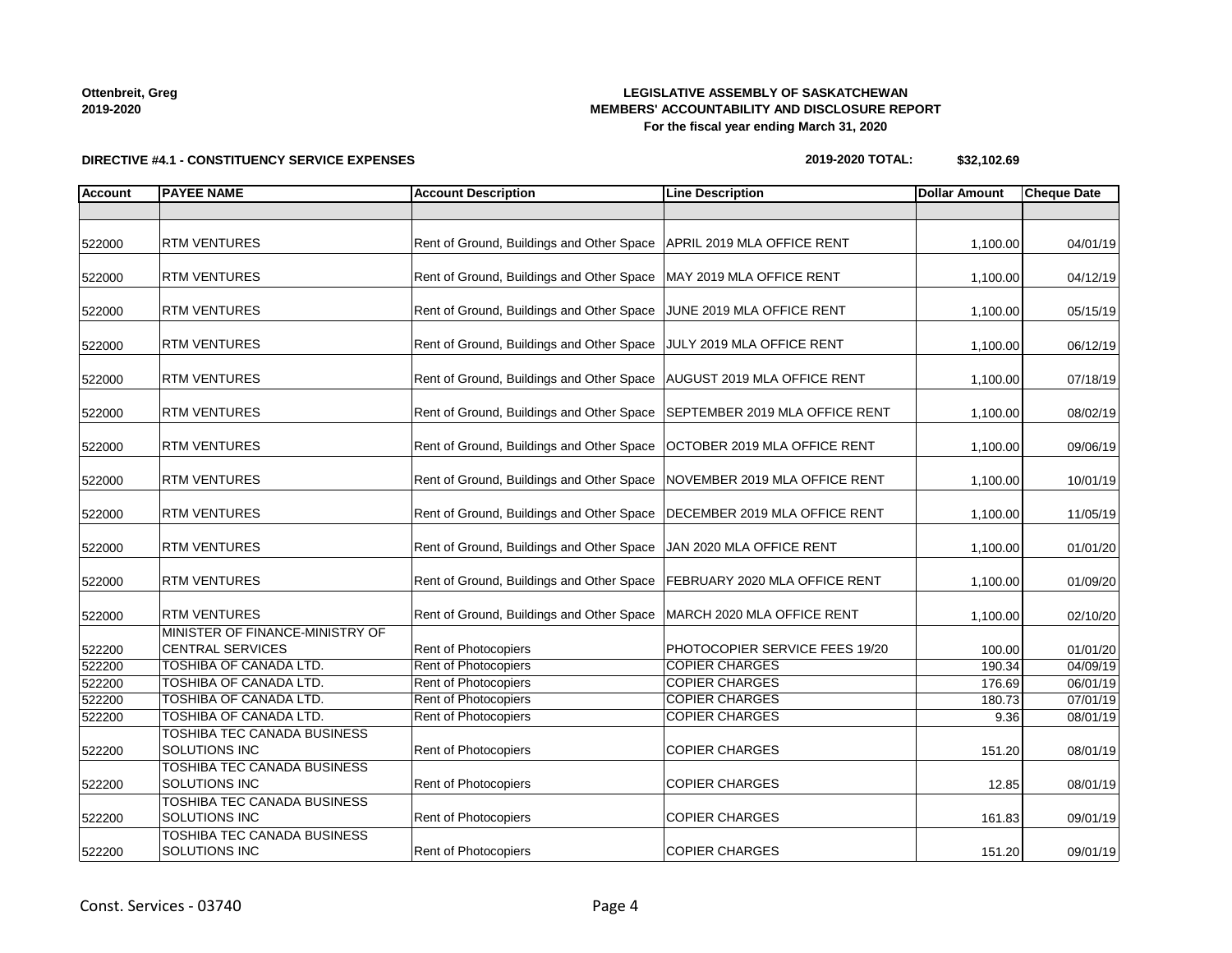# **LEGISLATIVE ASSEMBLY OF SASKATCHEWAN MEMBERS' ACCOUNTABILITY AND DISCLOSURE REPORT For the fiscal year ending March 31, 2020**

# **DIRECTIVE #4.1 - CONSTITUENCY SERVICE EXPENSES**

| 2019-2020 TOTAL: | \$32,102.69 |
|------------------|-------------|
|------------------|-------------|

| <b>Account</b> | <b>PAYEE NAME</b>                                          | <b>Account Description</b>                | <b>Line Description</b>        | <b>Dollar Amount</b> | <b>Cheque Date</b> |
|----------------|------------------------------------------------------------|-------------------------------------------|--------------------------------|----------------------|--------------------|
|                |                                                            |                                           |                                |                      |                    |
| 522000         | <b>RTM VENTURES</b>                                        | Rent of Ground, Buildings and Other Space | APRIL 2019 MLA OFFICE RENT     | 1,100.00             | 04/01/19           |
| 522000         | <b>RTM VENTURES</b>                                        | Rent of Ground, Buildings and Other Space | MAY 2019 MLA OFFICE RENT       | 1,100.00             | 04/12/19           |
| 522000         | <b>RTM VENTURES</b>                                        | Rent of Ground, Buildings and Other Space | JUNE 2019 MLA OFFICE RENT      | 1,100.00             | 05/15/19           |
| 522000         | <b>RTM VENTURES</b>                                        | Rent of Ground, Buildings and Other Space | JULY 2019 MLA OFFICE RENT      | 1,100.00             | 06/12/19           |
| 522000         | <b>RTM VENTURES</b>                                        | Rent of Ground, Buildings and Other Space | AUGUST 2019 MLA OFFICE RENT    | 1,100.00             | 07/18/19           |
| 522000         | <b>RTM VENTURES</b>                                        | Rent of Ground, Buildings and Other Space | SEPTEMBER 2019 MLA OFFICE RENT | 1,100.00             | 08/02/19           |
| 522000         | <b>RTM VENTURES</b>                                        | Rent of Ground, Buildings and Other Space | OCTOBER 2019 MLA OFFICE RENT   | 1,100.00             | 09/06/19           |
| 522000         | <b>RTM VENTURES</b>                                        | Rent of Ground, Buildings and Other Space | NOVEMBER 2019 MLA OFFICE RENT  | 1,100.00             | 10/01/19           |
| 522000         | <b>RTM VENTURES</b>                                        | Rent of Ground, Buildings and Other Space | DECEMBER 2019 MLA OFFICE RENT  | 1,100.00             | 11/05/19           |
| 522000         | <b>RTM VENTURES</b>                                        | Rent of Ground, Buildings and Other Space | JAN 2020 MLA OFFICE RENT       | 1,100.00             | 01/01/20           |
| 522000         | <b>RTM VENTURES</b>                                        | Rent of Ground, Buildings and Other Space | FEBRUARY 2020 MLA OFFICE RENT  | 1,100.00             | 01/09/20           |
| 522000         | <b>RTM VENTURES</b>                                        | Rent of Ground, Buildings and Other Space | MARCH 2020 MLA OFFICE RENT     | 1,100.00             | 02/10/20           |
| 522200         | MINISTER OF FINANCE-MINISTRY OF<br><b>CENTRAL SERVICES</b> | <b>Rent of Photocopiers</b>               | PHOTOCOPIER SERVICE FEES 19/20 | 100.00               | 01/01/20           |
| 522200         | <b>TOSHIBA OF CANADA LTD.</b>                              | Rent of Photocopiers                      | <b>COPIER CHARGES</b>          | 190.34               | 04/09/19           |
| 522200         | <b>TOSHIBA OF CANADA LTD.</b>                              | <b>Rent of Photocopiers</b>               | <b>COPIER CHARGES</b>          | 176.69               | 06/01/19           |
| 522200         | TOSHIBA OF CANADA LTD.                                     | Rent of Photocopiers                      | <b>COPIER CHARGES</b>          | 180.73               | 07/01/19           |
| 522200         | TOSHIBA OF CANADA LTD.                                     | <b>Rent of Photocopiers</b>               | <b>COPIER CHARGES</b>          | 9.36                 | 08/01/19           |
| 522200         | TOSHIBA TEC CANADA BUSINESS<br>SOLUTIONS INC               | Rent of Photocopiers                      | <b>COPIER CHARGES</b>          | 151.20               | 08/01/19           |
| 522200         | TOSHIBA TEC CANADA BUSINESS<br>SOLUTIONS INC               | Rent of Photocopiers                      | <b>COPIER CHARGES</b>          | 12.85                | 08/01/19           |
| 522200         | TOSHIBA TEC CANADA BUSINESS<br>SOLUTIONS INC               | Rent of Photocopiers                      | <b>COPIER CHARGES</b>          | 161.83               | 09/01/19           |
| 522200         | TOSHIBA TEC CANADA BUSINESS<br>SOLUTIONS INC               | Rent of Photocopiers                      | <b>COPIER CHARGES</b>          | 151.20               | 09/01/19           |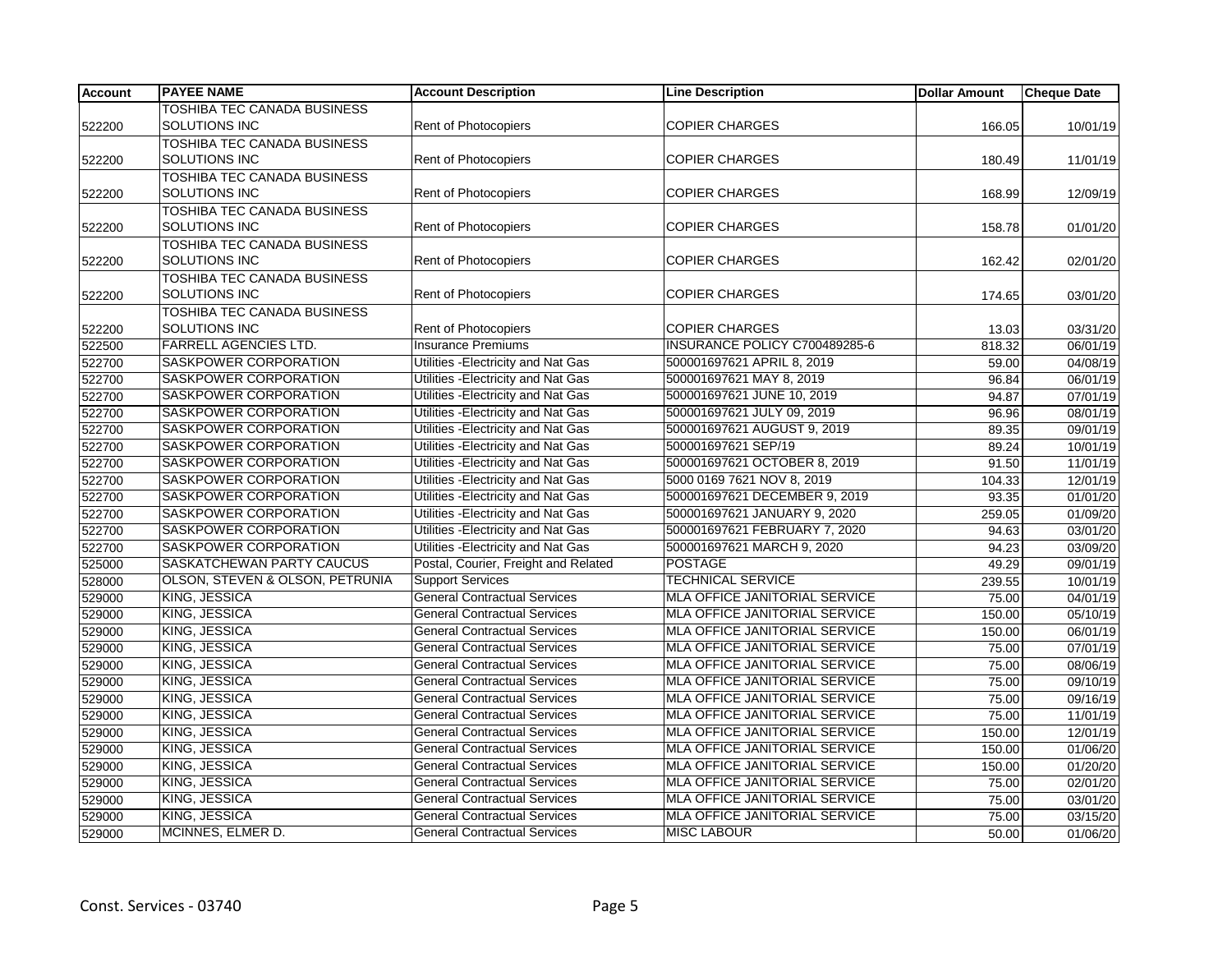| <b>Account</b> | <b>PAYEE NAME</b>                  | <b>Account Description</b>           | <b>Line Description</b>              | <b>Dollar Amount</b> | <b>Cheque Date</b> |
|----------------|------------------------------------|--------------------------------------|--------------------------------------|----------------------|--------------------|
|                | TOSHIBA TEC CANADA BUSINESS        |                                      |                                      |                      |                    |
| 522200         | SOLUTIONS INC                      | Rent of Photocopiers                 | <b>COPIER CHARGES</b>                | 166.05               | 10/01/19           |
|                | TOSHIBA TEC CANADA BUSINESS        |                                      |                                      |                      |                    |
| 522200         | SOLUTIONS INC                      | <b>Rent of Photocopiers</b>          | <b>COPIER CHARGES</b>                | 180.49               | 11/01/19           |
|                | <b>TOSHIBA TEC CANADA BUSINESS</b> |                                      |                                      |                      |                    |
| 522200         | <b>SOLUTIONS INC</b>               | Rent of Photocopiers                 | <b>COPIER CHARGES</b>                | 168.99               | 12/09/19           |
|                | <b>TOSHIBA TEC CANADA BUSINESS</b> |                                      |                                      |                      |                    |
| 522200         | SOLUTIONS INC                      | Rent of Photocopiers                 | <b>COPIER CHARGES</b>                | 158.78               | 01/01/20           |
|                | TOSHIBA TEC CANADA BUSINESS        |                                      |                                      |                      |                    |
| 522200         | SOLUTIONS INC                      | <b>Rent of Photocopiers</b>          | <b>COPIER CHARGES</b>                | 162.42               | 02/01/20           |
|                | TOSHIBA TEC CANADA BUSINESS        |                                      |                                      |                      |                    |
| 522200         | SOLUTIONS INC                      | Rent of Photocopiers                 | <b>COPIER CHARGES</b>                | 174.65               | 03/01/20           |
|                | TOSHIBA TEC CANADA BUSINESS        |                                      |                                      |                      |                    |
| 522200         | SOLUTIONS INC                      | Rent of Photocopiers                 | <b>COPIER CHARGES</b>                | 13.03                | 03/31/20           |
| 522500         | <b>FARRELL AGENCIES LTD.</b>       | <b>Insurance Premiums</b>            | INSURANCE POLICY C700489285-6        | 818.32               | 06/01/19           |
| 522700         | SASKPOWER CORPORATION              | Utilities - Electricity and Nat Gas  | 500001697621 APRIL 8, 2019           | 59.00                | 04/08/19           |
| 522700         | SASKPOWER CORPORATION              | Utilities - Electricity and Nat Gas  | 500001697621 MAY 8, 2019             | 96.84                | 06/01/19           |
| 522700         | SASKPOWER CORPORATION              | Utilities - Electricity and Nat Gas  | 500001697621 JUNE 10, 2019           | 94.87                | 07/01/19           |
| 522700         | SASKPOWER CORPORATION              | Utilities - Electricity and Nat Gas  | 500001697621 JULY 09, 2019           | 96.96                | 08/01/19           |
| 522700         | SASKPOWER CORPORATION              | Utilities - Electricity and Nat Gas  | 500001697621 AUGUST 9, 2019          | 89.35                | 09/01/19           |
| 522700         | SASKPOWER CORPORATION              | Utilities - Electricity and Nat Gas  | 500001697621 SEP/19                  | 89.24                | 10/01/19           |
| 522700         | SASKPOWER CORPORATION              | Utilities - Electricity and Nat Gas  | 500001697621 OCTOBER 8, 2019         | 91.50                | 11/01/19           |
| 522700         | SASKPOWER CORPORATION              | Utilities - Electricity and Nat Gas  | 5000 0169 7621 NOV 8, 2019           | 104.33               | 12/01/19           |
| 522700         | SASKPOWER CORPORATION              | Utilities - Electricity and Nat Gas  | 500001697621 DECEMBER 9, 2019        | 93.35                | 01/01/20           |
| 522700         | <b>SASKPOWER CORPORATION</b>       | Utilities - Electricity and Nat Gas  | 500001697621 JANUARY 9, 2020         | 259.05               | 01/09/20           |
| 522700         | SASKPOWER CORPORATION              | Utilities - Electricity and Nat Gas  | 500001697621 FEBRUARY 7, 2020        | 94.63                | 03/01/20           |
| 522700         | SASKPOWER CORPORATION              | Utilities - Electricity and Nat Gas  | 500001697621 MARCH 9, 2020           | 94.23                | 03/09/20           |
| 525000         | SASKATCHEWAN PARTY CAUCUS          | Postal, Courier, Freight and Related | <b>POSTAGE</b>                       | 49.29                | 09/01/19           |
| 528000         | OLSON, STEVEN & OLSON, PETRUNIA    | <b>Support Services</b>              | <b>TECHNICAL SERVICE</b>             | 239.55               | 10/01/19           |
| 529000         | KING, JESSICA                      | <b>General Contractual Services</b>  | MLA OFFICE JANITORIAL SERVICE        | 75.00                | 04/01/19           |
| 529000         | KING, JESSICA                      | <b>General Contractual Services</b>  | MLA OFFICE JANITORIAL SERVICE        | 150.00               | 05/10/19           |
| 529000         | KING, JESSICA                      | <b>General Contractual Services</b>  | MLA OFFICE JANITORIAL SERVICE        | 150.00               | 06/01/19           |
| 529000         | <b>KING, JESSICA</b>               | <b>General Contractual Services</b>  | <b>MLA OFFICE JANITORIAL SERVICE</b> | 75.00                | 07/01/19           |
| 529000         | KING, JESSICA                      | <b>General Contractual Services</b>  | MLA OFFICE JANITORIAL SERVICE        | 75.00                | 08/06/19           |
| 529000         | KING, JESSICA                      | <b>General Contractual Services</b>  | MLA OFFICE JANITORIAL SERVICE        | 75.00                | 09/10/19           |
| 529000         | KING, JESSICA                      | <b>General Contractual Services</b>  | MLA OFFICE JANITORIAL SERVICE        | 75.00                | 09/16/19           |
| 529000         | KING, JESSICA                      | <b>General Contractual Services</b>  | MLA OFFICE JANITORIAL SERVICE        | 75.00                | 11/01/19           |
| 529000         | KING, JESSICA                      | <b>General Contractual Services</b>  | <b>MLA OFFICE JANITORIAL SERVICE</b> | 150.00               | 12/01/19           |
| 529000         | KING, JESSICA                      | <b>General Contractual Services</b>  | MLA OFFICE JANITORIAL SERVICE        | 150.00               | 01/06/20           |
| 529000         | <b>KING, JESSICA</b>               | <b>General Contractual Services</b>  | MLA OFFICE JANITORIAL SERVICE        | 150.00               | 01/20/20           |
| 529000         | KING, JESSICA                      | <b>General Contractual Services</b>  | MLA OFFICE JANITORIAL SERVICE        | 75.00                | 02/01/20           |
| 529000         | KING, JESSICA                      | <b>General Contractual Services</b>  | MLA OFFICE JANITORIAL SERVICE        | 75.00                | 03/01/20           |
| 529000         | KING, JESSICA                      | <b>General Contractual Services</b>  | <b>MLA OFFICE JANITORIAL SERVICE</b> | 75.00                | 03/15/20           |
| 529000         | MCINNES, ELMER D.                  | <b>General Contractual Services</b>  | <b>MISC LABOUR</b>                   | 50.00                | 01/06/20           |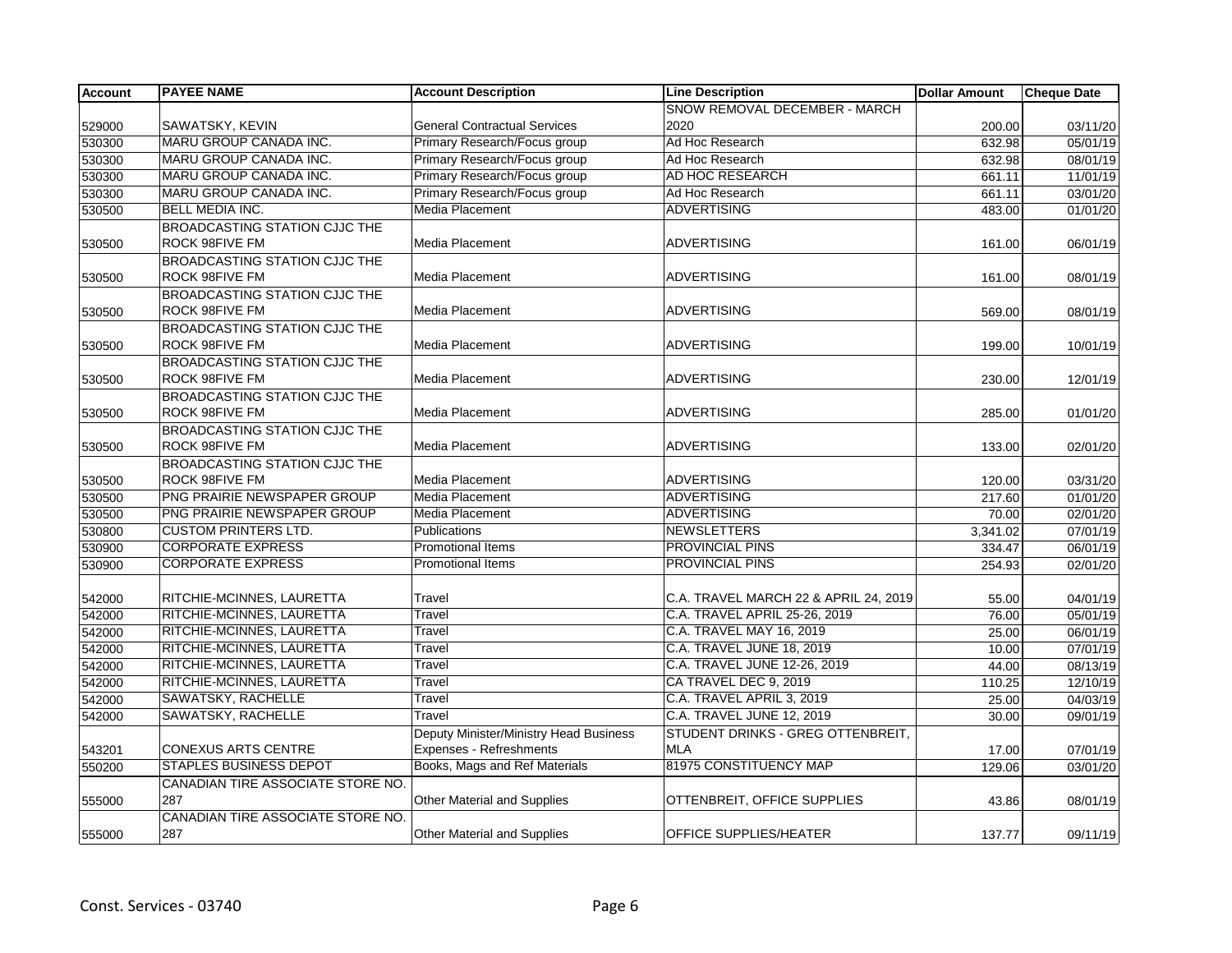| <b>Account</b> | <b>PAYEE NAME</b>                    | <b>Account Description</b>                                        | <b>Line Description</b>                         | <b>Dollar Amount</b> | <b>Cheque Date</b> |
|----------------|--------------------------------------|-------------------------------------------------------------------|-------------------------------------------------|----------------------|--------------------|
|                |                                      |                                                                   | SNOW REMOVAL DECEMBER - MARCH                   |                      |                    |
| 529000         | SAWATSKY, KEVIN                      | <b>General Contractual Services</b>                               | 2020                                            | 200.00               | 03/11/20           |
| 530300         | MARU GROUP CANADA INC.               | Primary Research/Focus group                                      | Ad Hoc Research                                 | 632.98               | 05/01/19           |
| 530300         | MARU GROUP CANADA INC.               | Primary Research/Focus group                                      | Ad Hoc Research                                 | 632.98               | 08/01/19           |
| 530300         | MARU GROUP CANADA INC.               | Primary Research/Focus group                                      | AD HOC RESEARCH                                 | 661.11               | 11/01/19           |
| 530300         | MARU GROUP CANADA INC.               | Primary Research/Focus group                                      | Ad Hoc Research                                 | 661.11               | 03/01/20           |
| 530500         | <b>BELL MEDIA INC.</b>               | Media Placement                                                   | <b>ADVERTISING</b>                              | 483.00               | 01/01/20           |
|                | BROADCASTING STATION CJJC THE        |                                                                   |                                                 |                      |                    |
| 530500         | ROCK 98FIVE FM                       | <b>Media Placement</b>                                            | <b>ADVERTISING</b>                              | 161.00               | 06/01/19           |
|                | BROADCASTING STATION CJJC THE        |                                                                   |                                                 |                      |                    |
| 530500         | ROCK 98FIVE FM                       | <b>Media Placement</b>                                            | <b>ADVERTISING</b>                              | 161.00               | 08/01/19           |
|                | <b>BROADCASTING STATION CJJC THE</b> |                                                                   |                                                 |                      |                    |
| 530500         | ROCK 98FIVE FM                       | Media Placement                                                   | <b>ADVERTISING</b>                              | 569.00               | 08/01/19           |
|                | BROADCASTING STATION CJJC THE        |                                                                   |                                                 |                      |                    |
| 530500         | ROCK 98FIVE FM                       | Media Placement                                                   | <b>ADVERTISING</b>                              | 199.00               | 10/01/19           |
|                | BROADCASTING STATION CJJC THE        |                                                                   |                                                 |                      |                    |
| 530500         | ROCK 98FIVE FM                       | <b>Media Placement</b>                                            | <b>ADVERTISING</b>                              | 230.00               | 12/01/19           |
|                | BROADCASTING STATION CJJC THE        |                                                                   |                                                 |                      |                    |
| 530500         | ROCK 98FIVE FM                       | <b>Media Placement</b>                                            | <b>ADVERTISING</b>                              | 285.00               | 01/01/20           |
|                | BROADCASTING STATION CJJC THE        |                                                                   |                                                 |                      |                    |
| 530500         | ROCK 98FIVE FM                       | Media Placement                                                   | <b>ADVERTISING</b>                              | 133.00               | 02/01/20           |
|                | BROADCASTING STATION CJJC THE        |                                                                   |                                                 |                      |                    |
| 530500         | ROCK 98FIVE FM                       | <b>Media Placement</b>                                            | <b>ADVERTISING</b>                              | 120.00               | 03/31/20           |
| 530500         | PNG PRAIRIE NEWSPAPER GROUP          | <b>Media Placement</b>                                            | <b>ADVERTISING</b>                              | 217.60               | 01/01/20           |
| 530500         | PNG PRAIRIE NEWSPAPER GROUP          | Media Placement                                                   | <b>ADVERTISING</b>                              | 70.00                | 02/01/20           |
| 530800         | <b>CUSTOM PRINTERS LTD.</b>          | <b>Publications</b>                                               | <b>NEWSLETTERS</b>                              | 3,341.02             | 07/01/19           |
| 530900         | <b>CORPORATE EXPRESS</b>             | <b>Promotional Items</b>                                          | <b>PROVINCIAL PINS</b>                          | 334.47               | 06/01/19           |
| 530900         | <b>CORPORATE EXPRESS</b>             | <b>Promotional Items</b>                                          | <b>PROVINCIAL PINS</b>                          | 254.93               | 02/01/20           |
| 542000         | RITCHIE-MCINNES, LAURETTA            | Travel                                                            | C.A. TRAVEL MARCH 22 & APRIL 24, 2019           | 55.00                | 04/01/19           |
| 542000         | RITCHIE-MCINNES, LAURETTA            | Travel                                                            | C.A. TRAVEL APRIL 25-26, 2019                   | 76.00                | 05/01/19           |
| 542000         | RITCHIE-MCINNES, LAURETTA            | Travel                                                            | C.A. TRAVEL MAY 16, 2019                        | 25.00                | 06/01/19           |
| 542000         | RITCHIE-MCINNES, LAURETTA            | Travel                                                            | C.A. TRAVEL JUNE 18, 2019                       | 10.00                | 07/01/19           |
| 542000         | RITCHIE-MCINNES, LAURETTA            | Travel                                                            | C.A. TRAVEL JUNE 12-26, 2019                    | 44.00                | 08/13/19           |
| 542000         | RITCHIE-MCINNES, LAURETTA            | Travel                                                            | CA TRAVEL DEC 9, 2019                           | 110.25               | 12/10/19           |
| 542000         | <b>SAWATSKY, RACHELLE</b>            | Travel                                                            | C.A. TRAVEL APRIL 3, 2019                       | 25.00                | 04/03/19           |
| 542000         | SAWATSKY, RACHELLE                   | Travel                                                            | C.A. TRAVEL JUNE 12, 2019                       | 30.00                | 09/01/19           |
|                |                                      |                                                                   |                                                 |                      |                    |
| 543201         | <b>CONEXUS ARTS CENTRE</b>           | Deputy Minister/Ministry Head Business<br>Expenses - Refreshments | STUDENT DRINKS - GREG OTTENBREIT,<br><b>MLA</b> | 17.00                | 07/01/19           |
| 550200         | <b>STAPLES BUSINESS DEPOT</b>        | Books, Mags and Ref Materials                                     | 81975 CONSTITUENCY MAP                          | 129.06               | 03/01/20           |
|                | CANADIAN TIRE ASSOCIATE STORE NO.    |                                                                   |                                                 |                      |                    |
| 555000         | 287                                  | <b>Other Material and Supplies</b>                                | OTTENBREIT, OFFICE SUPPLIES                     | 43.86                | 08/01/19           |
|                | CANADIAN TIRE ASSOCIATE STORE NO.    |                                                                   |                                                 |                      |                    |
| 555000         | 287                                  | <b>Other Material and Supplies</b>                                | <b>OFFICE SUPPLIES/HEATER</b>                   | 137.77               | 09/11/19           |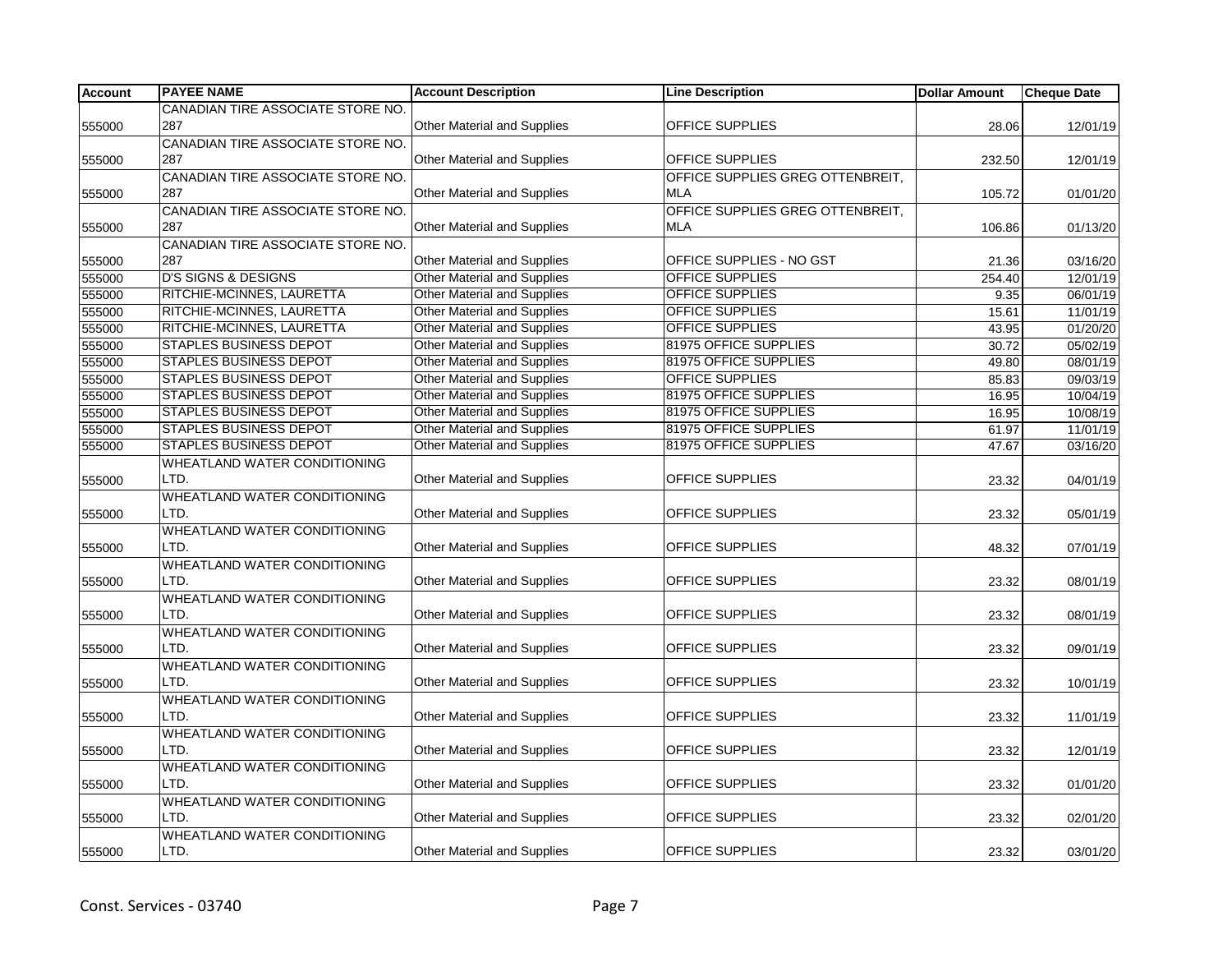| <b>Account</b> | <b>PAYEE NAME</b>                   | <b>Account Description</b>         | <b>Line Description</b>          | <b>Dollar Amount</b> | <b>Cheque Date</b> |
|----------------|-------------------------------------|------------------------------------|----------------------------------|----------------------|--------------------|
|                | CANADIAN TIRE ASSOCIATE STORE NO.   |                                    |                                  |                      |                    |
| 555000         | 287                                 | <b>Other Material and Supplies</b> | OFFICE SUPPLIES                  | 28.06                | 12/01/19           |
|                | CANADIAN TIRE ASSOCIATE STORE NO.   |                                    |                                  |                      |                    |
| 555000         | 287                                 | Other Material and Supplies        | OFFICE SUPPLIES                  | 232.50               | 12/01/19           |
|                | CANADIAN TIRE ASSOCIATE STORE NO.   |                                    | OFFICE SUPPLIES GREG OTTENBREIT, |                      |                    |
| 555000         | 287                                 | Other Material and Supplies        | <b>MLA</b>                       | 105.72               | 01/01/20           |
|                | CANADIAN TIRE ASSOCIATE STORE NO.   |                                    | OFFICE SUPPLIES GREG OTTENBREIT, |                      |                    |
| 555000         | 287                                 | Other Material and Supplies        | <b>MLA</b>                       | 106.86               | 01/13/20           |
|                | CANADIAN TIRE ASSOCIATE STORE NO.   |                                    |                                  |                      |                    |
| 555000         | 287                                 | Other Material and Supplies        | OFFICE SUPPLIES - NO GST         | 21.36                | 03/16/20           |
| 555000         | <b>D'S SIGNS &amp; DESIGNS</b>      | <b>Other Material and Supplies</b> | <b>OFFICE SUPPLIES</b>           | 254.40               | 12/01/19           |
| 555000         | RITCHIE-MCINNES, LAURETTA           | Other Material and Supplies        | OFFICE SUPPLIES                  | 9.35                 | 06/01/19           |
| 555000         | RITCHIE-MCINNES, LAURETTA           | Other Material and Supplies        | OFFICE SUPPLIES                  | 15.61                | 11/01/19           |
| 555000         | RITCHIE-MCINNES, LAURETTA           | Other Material and Supplies        | OFFICE SUPPLIES                  | 43.95                | 01/20/20           |
| 555000         | <b>STAPLES BUSINESS DEPOT</b>       | <b>Other Material and Supplies</b> | 81975 OFFICE SUPPLIES            | 30.72                | 05/02/19           |
| 555000         | <b>STAPLES BUSINESS DEPOT</b>       | <b>Other Material and Supplies</b> | 81975 OFFICE SUPPLIES            | 49.80                | 08/01/19           |
| 555000         | <b>STAPLES BUSINESS DEPOT</b>       | <b>Other Material and Supplies</b> | <b>OFFICE SUPPLIES</b>           | 85.83                | 09/03/19           |
| 555000         | <b>STAPLES BUSINESS DEPOT</b>       | Other Material and Supplies        | 81975 OFFICE SUPPLIES            | 16.95                | 10/04/19           |
| 555000         | <b>STAPLES BUSINESS DEPOT</b>       | <b>Other Material and Supplies</b> | 81975 OFFICE SUPPLIES            | 16.95                | 10/08/19           |
| 555000         | <b>STAPLES BUSINESS DEPOT</b>       | <b>Other Material and Supplies</b> | 81975 OFFICE SUPPLIES            | 61.97                | 11/01/19           |
| 555000         | <b>STAPLES BUSINESS DEPOT</b>       | <b>Other Material and Supplies</b> | 81975 OFFICE SUPPLIES            | 47.67                | 03/16/20           |
|                | WHEATLAND WATER CONDITIONING        |                                    |                                  |                      |                    |
| 555000         | LTD.                                | <b>Other Material and Supplies</b> | OFFICE SUPPLIES                  | 23.32                | 04/01/19           |
|                | WHEATLAND WATER CONDITIONING        |                                    |                                  |                      |                    |
| 555000         | LTD.                                | <b>Other Material and Supplies</b> | OFFICE SUPPLIES                  | 23.32                | 05/01/19           |
|                | WHEATLAND WATER CONDITIONING        |                                    |                                  |                      |                    |
| 555000         | LTD.                                | <b>Other Material and Supplies</b> | OFFICE SUPPLIES                  | 48.32                | 07/01/19           |
|                | WHEATLAND WATER CONDITIONING        |                                    |                                  |                      |                    |
| 555000         | LTD.                                | <b>Other Material and Supplies</b> | OFFICE SUPPLIES                  | 23.32                | 08/01/19           |
|                | WHEATLAND WATER CONDITIONING        |                                    |                                  |                      |                    |
| 555000         | LTD.                                | <b>Other Material and Supplies</b> | OFFICE SUPPLIES                  | 23.32                | 08/01/19           |
|                | WHEATLAND WATER CONDITIONING        |                                    |                                  |                      |                    |
| 555000         | LTD.                                | <b>Other Material and Supplies</b> | OFFICE SUPPLIES                  | 23.32                | 09/01/19           |
|                | WHEATLAND WATER CONDITIONING        |                                    |                                  |                      |                    |
| 555000         | LTD.                                | <b>Other Material and Supplies</b> | OFFICE SUPPLIES                  | 23.32                | 10/01/19           |
|                | <b>WHEATLAND WATER CONDITIONING</b> |                                    |                                  |                      |                    |
| 555000         | LTD.                                | <b>Other Material and Supplies</b> | <b>OFFICE SUPPLIES</b>           | 23.32                | 11/01/19           |
|                | WHEATLAND WATER CONDITIONING        |                                    |                                  |                      |                    |
| 555000         | LTD.                                | <b>Other Material and Supplies</b> | OFFICE SUPPLIES                  | 23.32                | 12/01/19           |
|                | WHEATLAND WATER CONDITIONING        |                                    |                                  |                      |                    |
| 555000         | LTD.                                | <b>Other Material and Supplies</b> | OFFICE SUPPLIES                  | 23.32                | 01/01/20           |
|                | <b>WHEATLAND WATER CONDITIONING</b> |                                    |                                  |                      |                    |
| 555000         | LTD.                                | <b>Other Material and Supplies</b> | OFFICE SUPPLIES                  | 23.32                | 02/01/20           |
|                | <b>WHEATLAND WATER CONDITIONING</b> |                                    |                                  |                      |                    |
| 555000         | LTD.                                | <b>Other Material and Supplies</b> | <b>OFFICE SUPPLIES</b>           | 23.32                | 03/01/20           |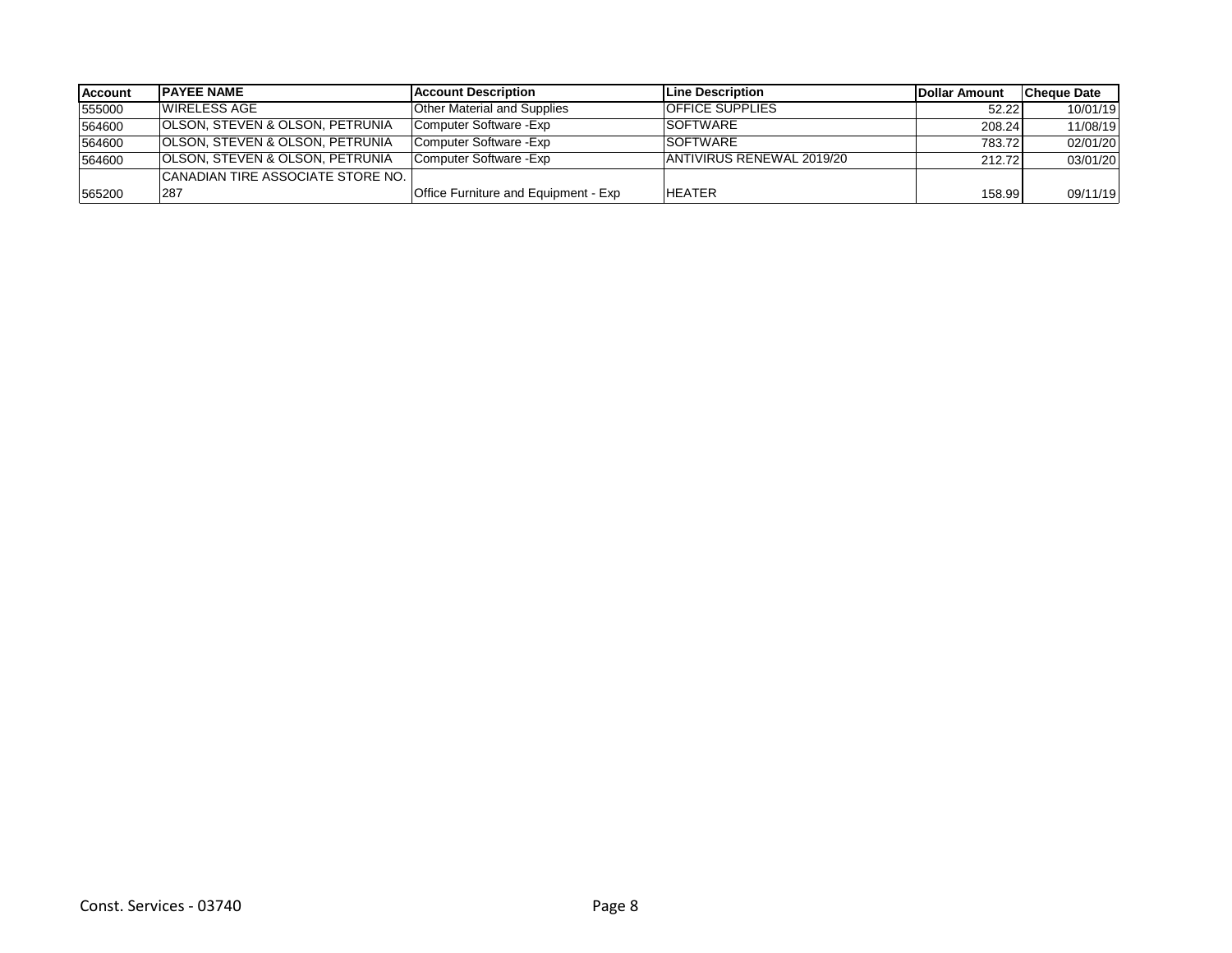| <b>Account</b> | <b>IPAYEE NAME</b>                         | <b>IAccount Description</b>          | <b>ILine Description</b>  | Dollar Amount | lCheque Date |
|----------------|--------------------------------------------|--------------------------------------|---------------------------|---------------|--------------|
| 555000         | WIRELESS AGE                               | Other Material and Supplies          | <b>OFFICE SUPPLIES</b>    | 52.22         | 10/01/19     |
| 564600         | <b>OLSON, STEVEN &amp; OLSON, PETRUNIA</b> | Computer Software - Exp              | <b>SOFTWARE</b>           | 208.24        | 11/08/19     |
| 564600         | <b>OLSON, STEVEN &amp; OLSON, PETRUNIA</b> | Computer Software - Exp              | <b>SOFTWARE</b>           | 783.72        | 02/01/20     |
| 564600         | <b>OLSON, STEVEN &amp; OLSON, PETRUNIA</b> | Computer Software - Exp              | ANTIVIRUS RENEWAL 2019/20 | 212.72        | 03/01/20     |
|                | CANADIAN TIRE ASSOCIATE STORE NO. I        |                                      |                           |               |              |
| 565200         | 287                                        | Office Furniture and Equipment - Exp | <b>HEATER</b>             | 158.99        | 09/11/19     |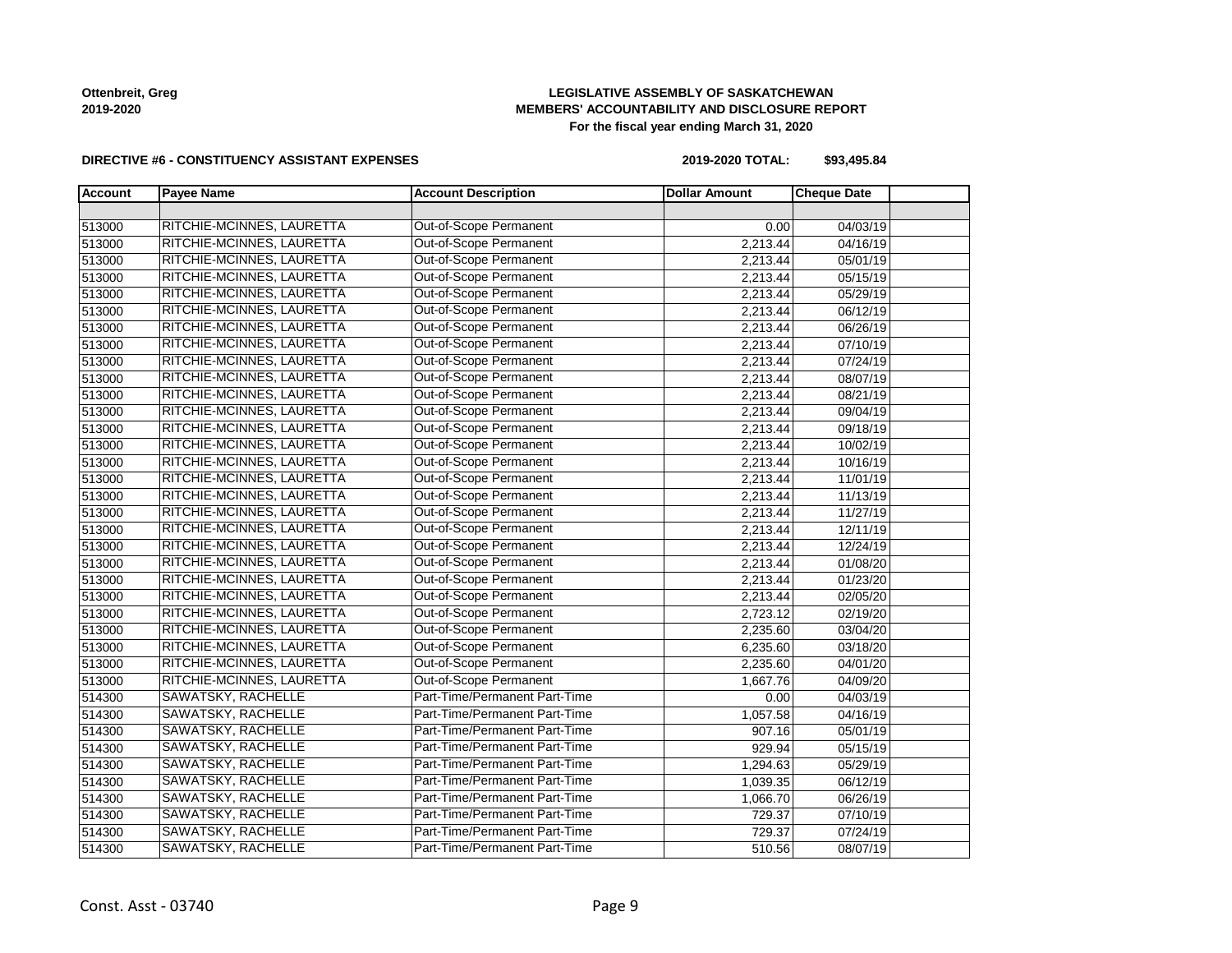# **LEGISLATIVE ASSEMBLY OF SASKATCHEWAN MEMBERS' ACCOUNTABILITY AND DISCLOSURE REPORT For the fiscal year ending March 31, 2020**

### **DIRECTIVE #6 - CONSTITUENCY ASSISTANT EXPENSES**

**2019-2020 TOTAL: \$93,495.84**

| <b>Account</b> | <b>Payee Name</b>         | <b>Account Description</b>    | <b>Dollar Amount</b> | <b>Cheque Date</b> |  |
|----------------|---------------------------|-------------------------------|----------------------|--------------------|--|
|                |                           |                               |                      |                    |  |
| 513000         | RITCHIE-MCINNES, LAURETTA | Out-of-Scope Permanent        | 0.00                 | 04/03/19           |  |
| 513000         | RITCHIE-MCINNES, LAURETTA | Out-of-Scope Permanent        | 2,213.44             | 04/16/19           |  |
| 513000         | RITCHIE-MCINNES, LAURETTA | Out-of-Scope Permanent        | 2,213.44             | 05/01/19           |  |
| 513000         | RITCHIE-MCINNES, LAURETTA | Out-of-Scope Permanent        | 2,213.44             | 05/15/19           |  |
| 513000         | RITCHIE-MCINNES, LAURETTA | Out-of-Scope Permanent        | 2,213.44             | 05/29/19           |  |
| 513000         | RITCHIE-MCINNES, LAURETTA | Out-of-Scope Permanent        | 2,213.44             | 06/12/19           |  |
| 513000         | RITCHIE-MCINNES, LAURETTA | Out-of-Scope Permanent        | 2,213.44             | 06/26/19           |  |
| 513000         | RITCHIE-MCINNES, LAURETTA | Out-of-Scope Permanent        | 2,213.44             | 07/10/19           |  |
| 513000         | RITCHIE-MCINNES, LAURETTA | Out-of-Scope Permanent        | 2,213.44             | 07/24/19           |  |
| 513000         | RITCHIE-MCINNES, LAURETTA | Out-of-Scope Permanent        | 2,213.44             | 08/07/19           |  |
| 513000         | RITCHIE-MCINNES, LAURETTA | Out-of-Scope Permanent        | 2,213.44             | 08/21/19           |  |
| 513000         | RITCHIE-MCINNES, LAURETTA | Out-of-Scope Permanent        | 2,213.44             | 09/04/19           |  |
| 513000         | RITCHIE-MCINNES, LAURETTA | Out-of-Scope Permanent        | 2,213.44             | 09/18/19           |  |
| 513000         | RITCHIE-MCINNES, LAURETTA | Out-of-Scope Permanent        | 2,213.44             | 10/02/19           |  |
| 513000         | RITCHIE-MCINNES, LAURETTA | Out-of-Scope Permanent        | 2,213.44             | 10/16/19           |  |
| 513000         | RITCHIE-MCINNES, LAURETTA | Out-of-Scope Permanent        | 2,213.44             | 11/01/19           |  |
| 513000         | RITCHIE-MCINNES, LAURETTA | Out-of-Scope Permanent        | 2,213.44             | 11/13/19           |  |
| 513000         | RITCHIE-MCINNES, LAURETTA | Out-of-Scope Permanent        | 2,213.44             | 11/27/19           |  |
| 513000         | RITCHIE-MCINNES, LAURETTA | Out-of-Scope Permanent        | 2,213.44             | 12/11/19           |  |
| 513000         | RITCHIE-MCINNES, LAURETTA | Out-of-Scope Permanent        | 2,213.44             | 12/24/19           |  |
| 513000         | RITCHIE-MCINNES, LAURETTA | Out-of-Scope Permanent        | 2,213.44             | 01/08/20           |  |
| 513000         | RITCHIE-MCINNES, LAURETTA | Out-of-Scope Permanent        | 2,213.44             | 01/23/20           |  |
| 513000         | RITCHIE-MCINNES, LAURETTA | Out-of-Scope Permanent        | 2,213.44             | 02/05/20           |  |
| 513000         | RITCHIE-MCINNES, LAURETTA | Out-of-Scope Permanent        | 2,723.12             | 02/19/20           |  |
| 513000         | RITCHIE-MCINNES, LAURETTA | Out-of-Scope Permanent        | 2,235.60             | 03/04/20           |  |
| 513000         | RITCHIE-MCINNES, LAURETTA | Out-of-Scope Permanent        | 6,235.60             | 03/18/20           |  |
| 513000         | RITCHIE-MCINNES, LAURETTA | Out-of-Scope Permanent        | 2,235.60             | 04/01/20           |  |
| 513000         | RITCHIE-MCINNES, LAURETTA | Out-of-Scope Permanent        | 1,667.76             | 04/09/20           |  |
| 514300         | SAWATSKY, RACHELLE        | Part-Time/Permanent Part-Time | 0.00                 | 04/03/19           |  |
| 514300         | <b>SAWATSKY, RACHELLE</b> | Part-Time/Permanent Part-Time | 1,057.58             | 04/16/19           |  |
| 514300         | <b>SAWATSKY, RACHELLE</b> | Part-Time/Permanent Part-Time | 907.16               | 05/01/19           |  |
| 514300         | SAWATSKY, RACHELLE        | Part-Time/Permanent Part-Time | 929.94               | 05/15/19           |  |
| 514300         | SAWATSKY, RACHELLE        | Part-Time/Permanent Part-Time | 1,294.63             | 05/29/19           |  |
| 514300         | <b>SAWATSKY, RACHELLE</b> | Part-Time/Permanent Part-Time | 1,039.35             | 06/12/19           |  |
| 514300         | <b>SAWATSKY, RACHELLE</b> | Part-Time/Permanent Part-Time | 1,066.70             | 06/26/19           |  |
| 514300         | SAWATSKY, RACHELLE        | Part-Time/Permanent Part-Time | 729.37               | 07/10/19           |  |
| 514300         | SAWATSKY, RACHELLE        | Part-Time/Permanent Part-Time | 729.37               | 07/24/19           |  |
| 514300         | SAWATSKY, RACHELLE        | Part-Time/Permanent Part-Time | 510.56               | 08/07/19           |  |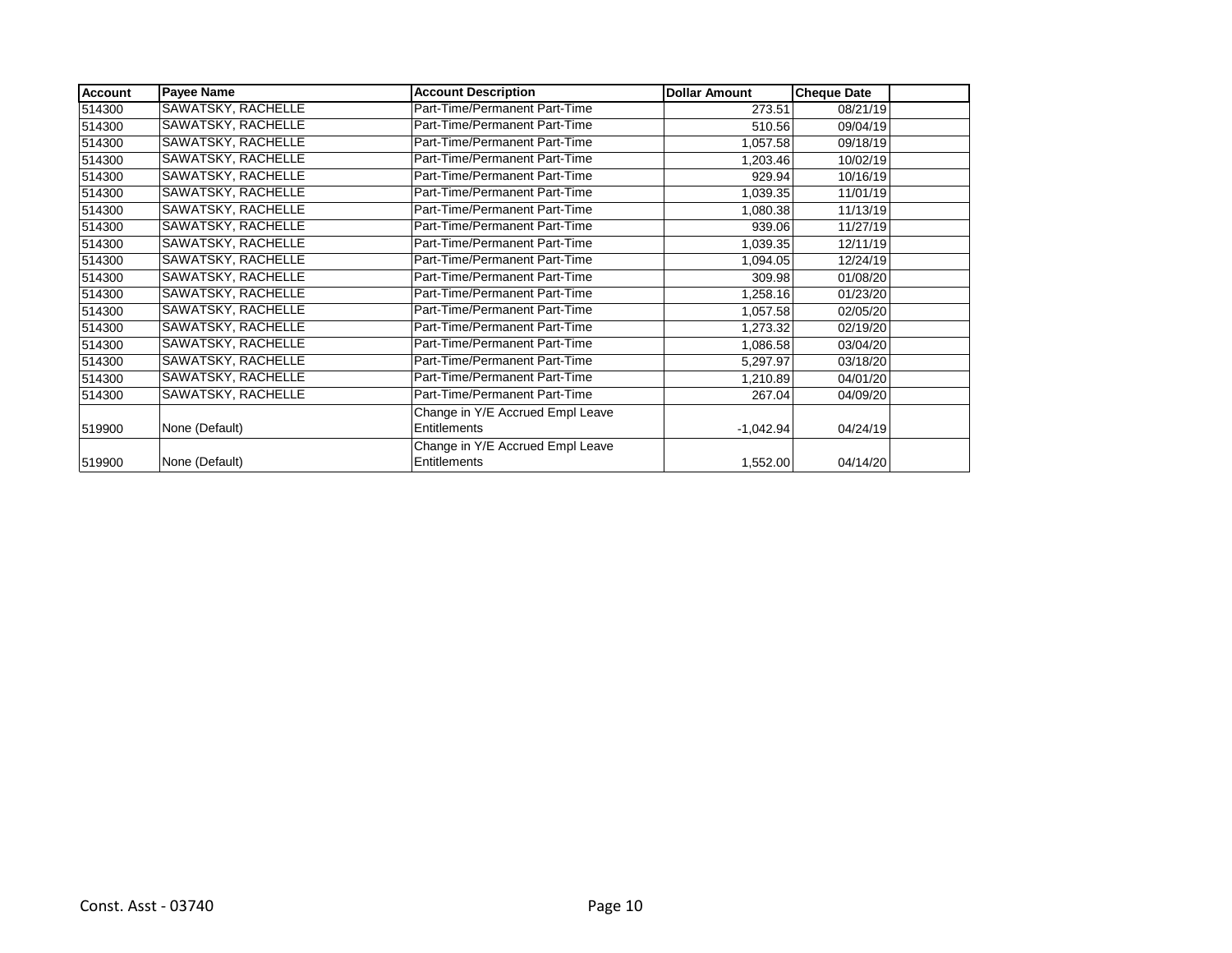| <b>Account</b> | <b>Payee Name</b>  | <b>Account Description</b>       | <b>Dollar Amount</b> | <b>Cheque Date</b> |  |
|----------------|--------------------|----------------------------------|----------------------|--------------------|--|
| 514300         | SAWATSKY, RACHELLE | Part-Time/Permanent Part-Time    | 273.51               | 08/21/19           |  |
| 514300         | SAWATSKY, RACHELLE | Part-Time/Permanent Part-Time    | 510.56               | 09/04/19           |  |
| 514300         | SAWATSKY, RACHELLE | Part-Time/Permanent Part-Time    | 1,057.58             | 09/18/19           |  |
| 514300         | SAWATSKY, RACHELLE | Part-Time/Permanent Part-Time    | 1,203.46             | 10/02/19           |  |
| 514300         | SAWATSKY, RACHELLE | Part-Time/Permanent Part-Time    | 929.94               | 10/16/19           |  |
| 514300         | SAWATSKY, RACHELLE | Part-Time/Permanent Part-Time    | 1,039.35             | 11/01/19           |  |
| 514300         | SAWATSKY, RACHELLE | Part-Time/Permanent Part-Time    | 1,080.38             | 11/13/19           |  |
| 514300         | SAWATSKY, RACHELLE | Part-Time/Permanent Part-Time    | 939.06               | 11/27/19           |  |
| 514300         | SAWATSKY, RACHELLE | Part-Time/Permanent Part-Time    | 1,039.35             | 12/11/19           |  |
| 514300         | SAWATSKY, RACHELLE | Part-Time/Permanent Part-Time    | 1,094.05             | 12/24/19           |  |
| 514300         | SAWATSKY, RACHELLE | Part-Time/Permanent Part-Time    | 309.98               | 01/08/20           |  |
| 514300         | SAWATSKY, RACHELLE | Part-Time/Permanent Part-Time    | 1,258.16             | 01/23/20           |  |
| 514300         | SAWATSKY, RACHELLE | Part-Time/Permanent Part-Time    | 1,057.58             | 02/05/20           |  |
| 514300         | SAWATSKY, RACHELLE | Part-Time/Permanent Part-Time    | 1,273.32             | 02/19/20           |  |
| 514300         | SAWATSKY, RACHELLE | Part-Time/Permanent Part-Time    | 1,086.58             | 03/04/20           |  |
| 514300         | SAWATSKY, RACHELLE | Part-Time/Permanent Part-Time    | 5,297.97             | 03/18/20           |  |
| 514300         | SAWATSKY, RACHELLE | Part-Time/Permanent Part-Time    | 1,210.89             | 04/01/20           |  |
| 514300         | SAWATSKY, RACHELLE | Part-Time/Permanent Part-Time    | 267.04               | 04/09/20           |  |
|                |                    | Change in Y/E Accrued Empl Leave |                      |                    |  |
| 519900         | None (Default)     | <b>Entitlements</b>              | $-1,042.94$          | 04/24/19           |  |
|                |                    | Change in Y/E Accrued Empl Leave |                      |                    |  |
| 519900         | None (Default)     | Entitlements                     | 1,552.00             | 04/14/20           |  |